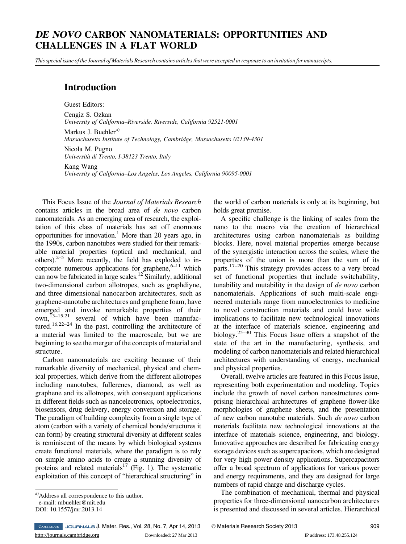## DE NOVO CARBON NANOMATERIALS: OPPORTUNITIES AND CHALLENGES IN A FLAT WORLD

This special issue of the Journal of Materials Research contains articles that were accepted in response to an invitation for manuscripts.

## Introduction

Guest Editors:

Cengiz S. Ozkan University of California–Riverside, Riverside, California 92521-0001

Markus J. Buehler<sup>a)</sup> Massachusetts Institute of Technology, Cambridge, Massachusetts 02139-4301

Nicola M. Pugno Università di Trento, I-38123 Trento, Italy

Kang Wang

University of California–Los Angeles, Los Angeles, California 90095-0001

This Focus Issue of the Journal of Materials Research contains articles in the broad area of de novo carbon nanomaterials. As an emerging area of research, the exploitation of this class of materials has set off enormous opportunities for innovation.<sup>1</sup> More than 20 years ago, in the 1990s, carbon nanotubes were studied for their remarkable material properties (optical and mechanical, and others). $2-5$  More recently, the field has exploded to incorporate numerous applications for graphene, $6-11$  which can now be fabricated in large scales.12 Similarly, additional two-dimensional carbon allotropes, such as graphdiyne, and three dimensional nanocarbon architectures, such as graphene-nanotube architectures and graphene foam, have emerged and invoke remarkable properties of their  $\overrightarrow{a}$ <sup>13–15,21</sup> several of which have been manufactured.<sup>16,22–24</sup> In the past, controlling the architecture of a material was limited to the macroscale, but we are beginning to see the merger of the concepts of material and structure.

Carbon nanomaterials are exciting because of their remarkable diversity of mechanical, physical and chemical properties, which derive from the different allotropes including nanotubes, fullerenes, diamond, as well as graphene and its allotropes, with consequent applications in different fields such as nanoelectronics, optoelectronics, biosensors, drug delivery, energy conversion and storage. The paradigm of building complexity from a single type of atom (carbon with a variety of chemical bonds/structures it can form) by creating structural diversity at different scales is reminiscent of the means by which biological systems create functional materials, where the paradigm is to rely on simple amino acids to create a stunning diversity of proteins and related materials<sup>17</sup> (Fig. 1). The systematic exploitation of this concept of "hierarchical structuring" in

<http://journals.cambridge.org> Downloaded: 27 Mar 2013 IP address: 173.48.255.124 CAMBRIDGE JOURNALS J. Mater. Res., Vol. 28, No. 7, Apr 14, 2013 © Materials Research Society 2013 909

the world of carbon materials is only at its beginning, but holds great promise.

A specific challenge is the linking of scales from the nano to the macro via the creation of hierarchical architectures using carbon nanomaterials as building blocks. Here, novel material properties emerge because of the synergistic interaction across the scales, where the properties of the union is more than the sum of its parts.<sup>17–20</sup> This strategy provides access to a very broad set of functional properties that include switchability, tunability and mutability in the design of *de novo* carbon nanomaterials. Applications of such multi-scale engineered materials range from nanoelectronics to medicine to novel construction materials and could have wide implications to facilitate new technological innovations at the interface of materials science, engineering and biology.25–<sup>30</sup> This Focus Issue offers a snapshot of the state of the art in the manufacturing, synthesis, and modeling of carbon nanomaterials and related hierarchical architectures with understanding of energy, mechanical and physical properties.

Overall, twelve articles are featured in this Focus Issue, representing both experimentation and modeling. Topics include the growth of novel carbon nanostructures comprising hierarchical architectures of graphene flower-like morphologies of graphene sheets, and the presentation of new carbon nanotube materials. Such de novo carbon materials facilitate new technological innovations at the interface of materials science, engineering, and biology. Innovative approaches are described for fabricating energy storage devices such as supercapacitors, which are designed for very high power density applications. Supercapacitors offer a broad spectrum of applications for various power and energy requirements, and they are designed for large numbers of rapid charge and discharge cycles.

The combination of mechanical, thermal and physical properties for three-dimensional nanocarbon architectures is presented and discussed in several articles. Hierarchical

a)Address all correspondence to this author.

e-mail: mbuehler@mit.edu

DOI: 10.1557/jmr.2013.14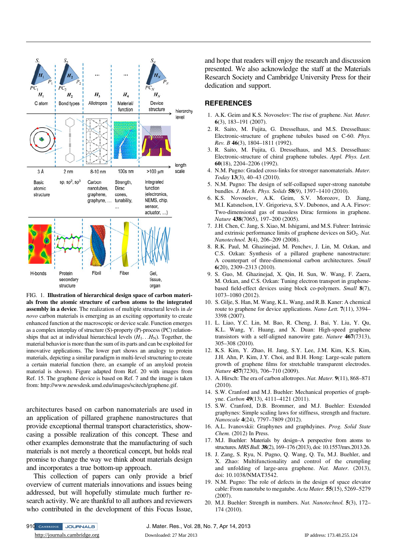

FIG. 1. Illustration of hierarchical design space of carbon materials from the atomic structure of carbon atoms to the integrated assembly in a device. The realization of multiple structural levels in de novo carbon materials is emerging as an exciting opportunity to create enhanced function at the macroscopic or device scale. Function emerges as a complex interplay of structure (S)-property (P)-process (PC) relationships that act at individual hierarchical levels  $(H_1 \dots H_N)$ . Together, the material behavior is more than the sum of its parts and can be exploited for innovative applications. The lower part shows an analogy to protein materials, depicting a similar paradigm in multi-level structuring to create a certain material function (here, an example of an amyloid protein material is shown). Figure adapted from Ref. 20 with images from Ref. 15. The graphene device is based on Ref. 7 and the image is taken from: http://www.newsdesk.umd.edu/images/scitech/graphene.gif.

architectures based on carbon nanomaterials are used in an application of pillared graphene nanostructures that provide exceptional thermal transport characteristics, showcasing a possible realization of this concept. These and other examples demonstrate that the manufacturing of such materials is not merely a theoretical concept, but holds real promise to change the way we think about materials design and incorporates a true bottom-up approach.

This collection of papers can only provide a brief overview of current materials innovations and issues being addressed, but will hopefully stimulate much further research activity. We are thankful to all authors and reviewers who contributed in the development of this Focus Issue,

and hope that readers will enjoy the research and discussion presented. We also acknowledge the staff at the Materials Research Society and Cambridge University Press for their dedication and support.

## REFERENCES

- 1. A.K. Geim and K.S. Novoselov: The rise of graphene. Nat. Mater. 6(3), 183–191 (2007).
- 2. R. Saito, M. Fujita, G. Dresselhaus, and M.S. Dresselhaus: Electronic-structure of graphene tubules based on C-60. Phys. Rev. B 46(3), 1804–1811 (1992).
- 3. R. Saito, M. Fujita, G. Dresselhaus, and M.S. Dresselhaus: Electronic-structure of chiral graphene tubules. Appl. Phys. Lett. 60(18), 2204–2206 (1992).
- 4. N.M. Pugno: Graded cross-links for stronger nanomaterials. Mater. Today 13(3), 40–43 (2010).
- 5. N.M. Pugno: The design of self-collapsed super-strong nanotube bundles. J. Mech. Phys. Solids 58(9), 1397–1410 (2010).
- 6. K.S. Novoselov, A.K. Geim, S.V. Morozov, D. Jiang, M.I. Katsnelson, I.V. Grigorieva, S.V. Dubonos, and A.A. Firsov: Two-dimensional gas of massless Dirac fermions in graphene. Nature 438(7065), 197-200 (2005).
- 7. J.H. Chen, C. Jang, S. Xiao, M. Ishigami, and M.S. Fuhrer: Intrinsic and extrinsic performance limits of graphene devices on  $SiO<sub>2</sub>$ . Nat. Nanotechnol. 3(4), 206–209 (2008).
- 8. R.K. Paul, M. Ghazinejad, M. Penchev, J. Lin, M. Ozkan, and C.S. Ozkan: Synthesis of a pillared graphene nanostructure: A counterpart of three-dimensional carbon architectures. Small 6(20), 2309–2313 (2010).
- 9. S. Guo, M. Ghazinejad, X. Qin, H. Sun, W. Wang, F. Zaera, M. Ozkan, and C.S. Ozkan: Tuning electron transport in graphenebased field-effect devices using block co-polymers. Small 8(7), 1073–1080 (2012).
- 10. S. Gilje, S. Han, M. Wang, K.L. Wang, and R.B. Kaner: A chemical route to graphene for device applications. Nano Lett. 7(11), 3394-3398 (2007).
- 11. L. Liao, Y.C. Lin, M. Bao, R. Cheng, J. Bai, Y. Liu, Y. Qu, K.L. Wang, Y. Huang, and X. Duan: High-speed graphene transistors with a self-aligned nanowire gate. Nature 467(7313), 305–308 (2010).
- 12. K.S. Kim, Y. Zhao, H. Jang, S.Y. Lee, J.M. Kim, K.S. Kim, J.H. Ahn, P. Kim, J.Y. Choi, and B.H. Hong: Large-scale pattern growth of graphene films for stretchable transparent electrodes. Nature 457(7230), 706–710 (2009).
- 13. A. Hirsch: The era of carbon allotropes. Nat. Mater. 9(11), 868–871 (2010).
- 14. S.W. Cranford and M.J. Buehler: Mechanical properties of graphyne. Carbon 49(13), 4111-4121 (2011).
- 15. S.W. Cranford, D.B. Brommer, and M.J. Buehler: Extended graphynes: Simple scaling laws for stiffness, strength and fracture. Nanoscale 4(24), 7797–7809 (2012).
- 16. A.L. Ivanovskii: Graphynes and graphdyines. Prog. Solid State Chem. (2012) In Press.
- 17. M.J. Buehler: Materials by design–A perspective from atoms to structures. MRS Bull. 38(2), 169–176 (2013), doi: 10.1557/mrs.2013.26.
- 18. J. Zang, S. Ryu, N. Pugno, Q. Wang, Q. Tu, M.J. Buehler, and X. Zhao: Multifunctionality and control of the crumpling and unfolding of large-area graphene. Nat. Mater. (2013), doi: 10.1038/NMAT3542.
- 19. N.M. Pugno: The role of defects in the design of space elevator cable: From nanotube to megatube. Acta Mater. 55(15), 5269–5279 (2007).
- 20. M.J. Buehler: Strength in numbers. Nat. Nanotechnol. 5(3), 172– 174 (2010).